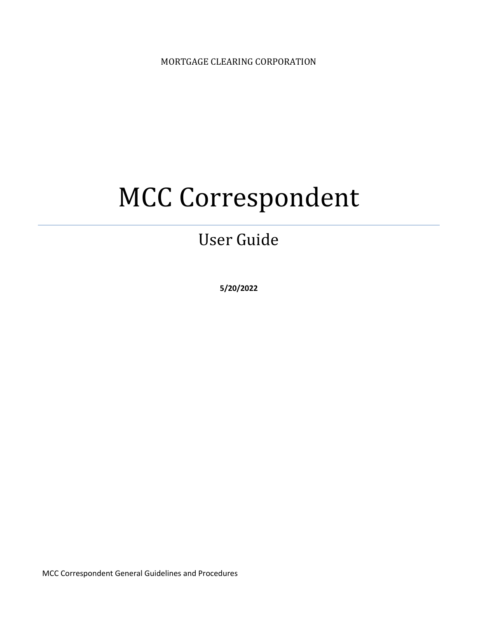MORTGAGE CLEARING CORPORATION

### MCC Correspondent

### User Guide

**5/20/2022**

MCC Correspondent General Guidelines and Procedures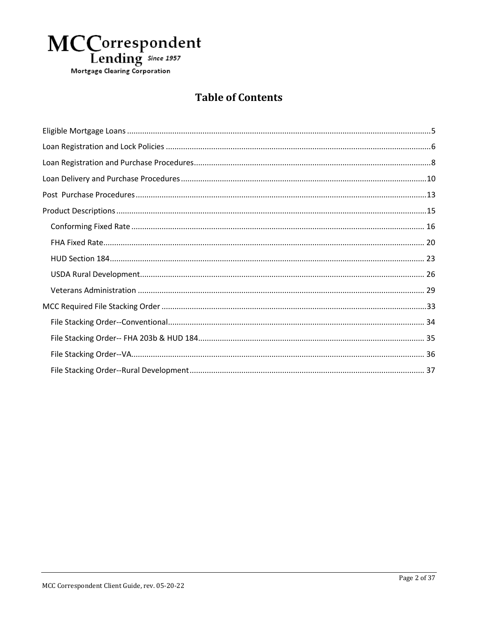#### **Table of Contents**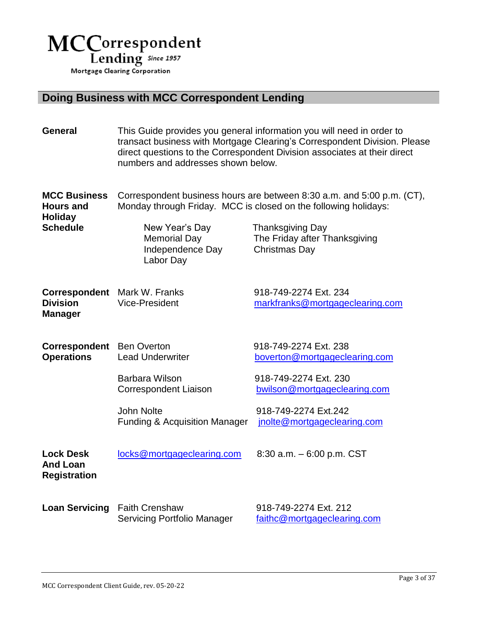### **Doing Business with MCC Correspondent Lending**

| <b>General</b>                                                               | This Guide provides you general information you will need in order to<br>transact business with Mortgage Clearing's Correspondent Division. Please<br>direct questions to the Correspondent Division associates at their direct<br>numbers and addresses shown below. |                                                                                                                                                                                                                        |  |
|------------------------------------------------------------------------------|-----------------------------------------------------------------------------------------------------------------------------------------------------------------------------------------------------------------------------------------------------------------------|------------------------------------------------------------------------------------------------------------------------------------------------------------------------------------------------------------------------|--|
| <b>MCC Business</b><br><b>Hours and</b><br><b>Holiday</b><br><b>Schedule</b> | New Year's Day<br><b>Memorial Day</b><br>Independence Day<br>Labor Day                                                                                                                                                                                                | Correspondent business hours are between 8:30 a.m. and 5:00 p.m. (CT),<br>Monday through Friday. MCC is closed on the following holidays:<br><b>Thanksgiving Day</b><br>The Friday after Thanksgiving<br>Christmas Day |  |
| Correspondent<br><b>Division</b><br><b>Manager</b>                           | Mark W. Franks<br><b>Vice-President</b>                                                                                                                                                                                                                               | 918-749-2274 Ext. 234<br>markfranks@mortgageclearing.com                                                                                                                                                               |  |
| Correspondent<br><b>Operations</b>                                           | <b>Ben Overton</b><br><b>Lead Underwriter</b><br>Barbara Wilson<br><b>Correspondent Liaison</b><br><b>John Nolte</b><br><b>Funding &amp; Acquisition Manager</b>                                                                                                      | 918-749-2274 Ext. 238<br>boverton@mortgageclearing.com<br>918-749-2274 Ext. 230<br>bwilson@mortgageclearing.com<br>918-749-2274 Ext.242<br>jnolte@mortgageclearing.com                                                 |  |
| <b>Lock Desk</b><br><b>And Loan</b><br><b>Registration</b>                   | locks@mortgageclearing.com                                                                                                                                                                                                                                            | $8:30$ a.m. $-6:00$ p.m. CST                                                                                                                                                                                           |  |
| <b>Loan Servicing</b>                                                        | <b>Faith Crenshaw</b><br><b>Servicing Portfolio Manager</b>                                                                                                                                                                                                           | 918-749-2274 Ext. 212<br>faithc@mortgageclearing.com                                                                                                                                                                   |  |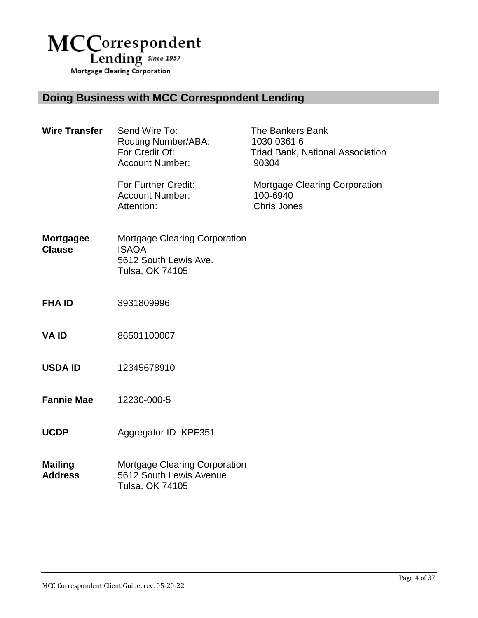**Doing Business with MCC Correspondent Lending**

| <b>Wire Transfer</b>              | Send Wire To:<br><b>Routing Number/ABA:</b><br>For Credit Of:<br><b>Account Number:</b>          | <b>The Bankers Bank</b><br>1030 0361 6<br><b>Triad Bank, National Association</b><br>90304 |
|-----------------------------------|--------------------------------------------------------------------------------------------------|--------------------------------------------------------------------------------------------|
|                                   | For Further Credit:<br><b>Account Number:</b><br>Attention:                                      | <b>Mortgage Clearing Corporation</b><br>100-6940<br><b>Chris Jones</b>                     |
| <b>Mortgagee</b><br><b>Clause</b> | <b>Mortgage Clearing Corporation</b><br><b>ISAOA</b><br>5612 South Lewis Ave.<br>Tulsa, OK 74105 |                                                                                            |
| <b>FHAID</b>                      | 3931809996                                                                                       |                                                                                            |
| <b>VAID</b>                       | 86501100007                                                                                      |                                                                                            |
| <b>USDA ID</b>                    | 12345678910                                                                                      |                                                                                            |
| <b>Fannie Mae</b>                 | 12230-000-5                                                                                      |                                                                                            |
| <b>UCDP</b>                       | Aggregator ID KPF351                                                                             |                                                                                            |
| <b>Mailing</b><br><b>Address</b>  | <b>Mortgage Clearing Corporation</b><br>5612 South Lewis Avenue<br>Tulsa, OK 74105               |                                                                                            |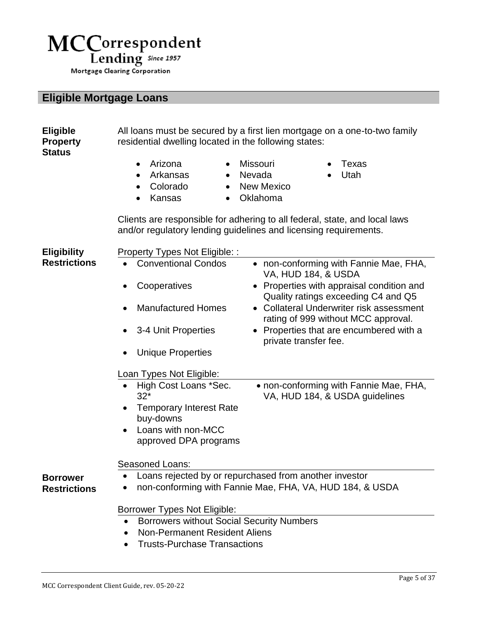### MCCorrespondent Lending Since 1957

Mortgage Clearing Corporation

#### <span id="page-4-0"></span>**Eligible Mortgage Loans**

#### **Eligible Property Status** All loans must be secured by a first lien mortgage on a one-to-two family residential dwelling located in the following states:

- Arizona
- Missouri
- Texas
- Arkansas
- Nevada
- 
- 
- Utah
- Colorado New Mexico
	-
- Kansas Oklahoma
	-

Clients are responsible for adhering to all federal, state, and local laws and/or regulatory lending guidelines and licensing requirements.

| <b>Eligibility</b>  | Property Types Not Eligible: :                                   |                                                                                             |
|---------------------|------------------------------------------------------------------|---------------------------------------------------------------------------------------------|
| <b>Restrictions</b> | <b>Conventional Condos</b>                                       | • non-conforming with Fannie Mae, FHA,<br>VA, HUD 184, & USDA                               |
|                     | Cooperatives                                                     | Properties with appraisal condition and<br>$\bullet$<br>Quality ratings exceeding C4 and Q5 |
|                     | <b>Manufactured Homes</b>                                        | • Collateral Underwriter risk assessment<br>rating of 999 without MCC approval.             |
|                     | 3-4 Unit Properties                                              | Properties that are encumbered with a<br>private transfer fee.                              |
|                     | <b>Unique Properties</b>                                         |                                                                                             |
|                     | Loan Types Not Eligible:                                         |                                                                                             |
|                     | High Cost Loans *Sec.<br>$32*$<br><b>Temporary Interest Rate</b> | • non-conforming with Fannie Mae, FHA,<br>VA, HUD 184, & USDA guidelines                    |
|                     | buy-downs                                                        |                                                                                             |
|                     | Loans with non-MCC<br>approved DPA programs                      |                                                                                             |
|                     | <b>Seasoned Loans:</b>                                           |                                                                                             |
| <b>Borrower</b>     |                                                                  | Loans rejected by or repurchased from another investor                                      |
| <b>Restrictions</b> |                                                                  | non-conforming with Fannie Mae, FHA, VA, HUD 184, & USDA                                    |
|                     | Borrower Types Not Eligible:                                     |                                                                                             |
|                     | <b>Borrowers without Social Security Numbers</b>                 |                                                                                             |
|                     | Non-Permanent Resident Aliens<br>$\bullet$                       |                                                                                             |
|                     | <b>Trusts-Purchase Transactions</b><br>$\bullet$                 |                                                                                             |
|                     |                                                                  |                                                                                             |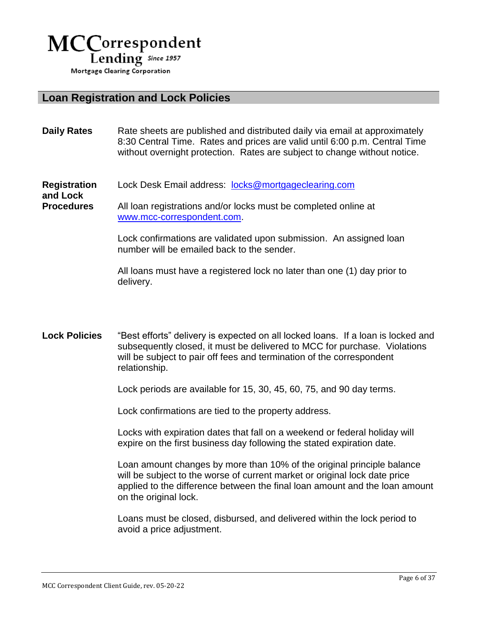### $\mathbf{M}\mathbf{C}\mathbf{C}$ orrespondent Lending Since 1957

Mortgage Clearing Corporation

**and Lock** 

#### <span id="page-5-0"></span>**Loan Registration and Lock Policies**

- **Daily Rates** Rate sheets are published and distributed daily via email at approximately 8:30 Central Time. Rates and prices are valid until 6:00 p.m. Central Time without overnight protection. Rates are subject to change without notice.
- **Registration**  Lock Desk Email address: [locks@mortgageclearing.com](file:///C:/Web%20Docs%20and%20Pics/MCC-Correspondent/locks@mortgageclearing.com)

**Procedures** All loan registrations and/or locks must be completed online at [www.mcc-correspondent.com.](http://www.mcc-correspondent.com/)

> Lock confirmations are validated upon submission. An assigned loan number will be emailed back to the sender.

> All loans must have a registered lock no later than one (1) day prior to delivery.

**Lock Policies** "Best efforts" delivery is expected on all locked loans. If a loan is locked and subsequently closed, it must be delivered to MCC for purchase. Violations will be subject to pair off fees and termination of the correspondent relationship.

Lock periods are available for 15, 30, 45, 60, 75, and 90 day terms.

Lock confirmations are tied to the property address.

Locks with expiration dates that fall on a weekend or federal holiday will expire on the first business day following the stated expiration date.

Loan amount changes by more than 10% of the original principle balance will be subject to the worse of current market or original lock date price applied to the difference between the final loan amount and the loan amount on the original lock.

Loans must be closed, disbursed, and delivered within the lock period to avoid a price adjustment.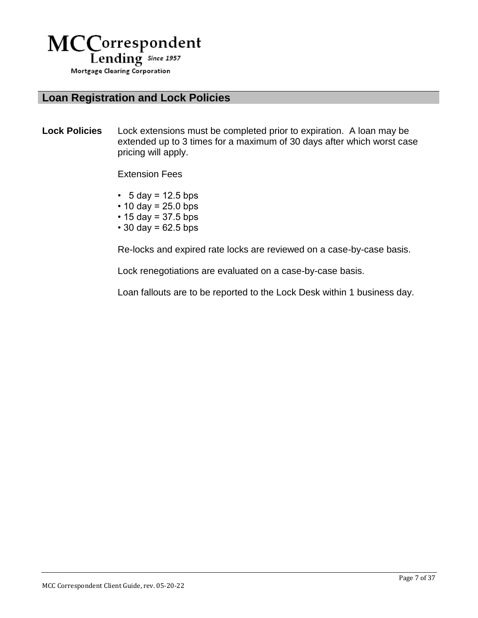#### **Loan Registration and Lock Policies**

**Lock Policies** Lock extensions must be completed prior to expiration. A loan may be extended up to 3 times for a maximum of 30 days after which worst case pricing will apply.

Extension Fees

- $\cdot$  5 day = 12.5 bps
- $\cdot$  10 day = 25.0 bps
- $15$  day = 37.5 bps
- $\cdot$  30 day = 62.5 bps

Re-locks and expired rate locks are reviewed on a case-by-case basis.

Lock renegotiations are evaluated on a case-by-case basis.

Loan fallouts are to be reported to the Lock Desk within 1 business day.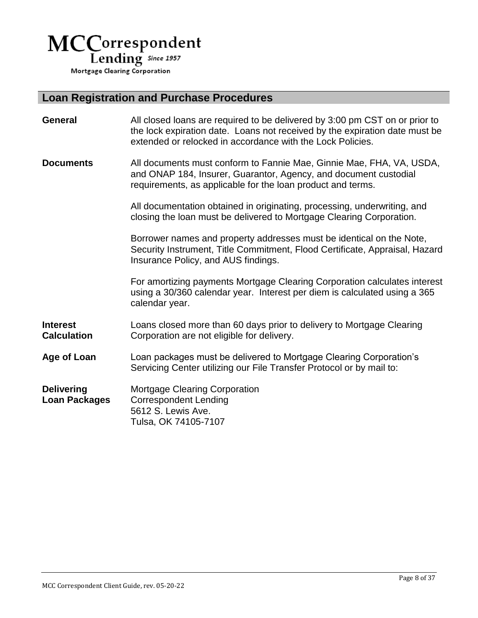### <span id="page-7-0"></span>**Loan Registration and Purchase Procedures**

| <b>General</b>                            | All closed loans are required to be delivered by 3:00 pm CST on or prior to<br>the lock expiration date. Loans not received by the expiration date must be<br>extended or relocked in accordance with the Lock Policies. |
|-------------------------------------------|--------------------------------------------------------------------------------------------------------------------------------------------------------------------------------------------------------------------------|
| <b>Documents</b>                          | All documents must conform to Fannie Mae, Ginnie Mae, FHA, VA, USDA,<br>and ONAP 184, Insurer, Guarantor, Agency, and document custodial<br>requirements, as applicable for the loan product and terms.                  |
|                                           | All documentation obtained in originating, processing, underwriting, and<br>closing the loan must be delivered to Mortgage Clearing Corporation.                                                                         |
|                                           | Borrower names and property addresses must be identical on the Note,<br>Security Instrument, Title Commitment, Flood Certificate, Appraisal, Hazard<br>Insurance Policy, and AUS findings.                               |
|                                           | For amortizing payments Mortgage Clearing Corporation calculates interest<br>using a 30/360 calendar year. Interest per diem is calculated using a 365<br>calendar year.                                                 |
| <b>Interest</b><br><b>Calculation</b>     | Loans closed more than 60 days prior to delivery to Mortgage Clearing<br>Corporation are not eligible for delivery.                                                                                                      |
| Age of Loan                               | Loan packages must be delivered to Mortgage Clearing Corporation's<br>Servicing Center utilizing our File Transfer Protocol or by mail to:                                                                               |
| <b>Delivering</b><br><b>Loan Packages</b> | <b>Mortgage Clearing Corporation</b><br><b>Correspondent Lending</b><br>5612 S. Lewis Ave.<br>Tulsa, OK 74105-7107                                                                                                       |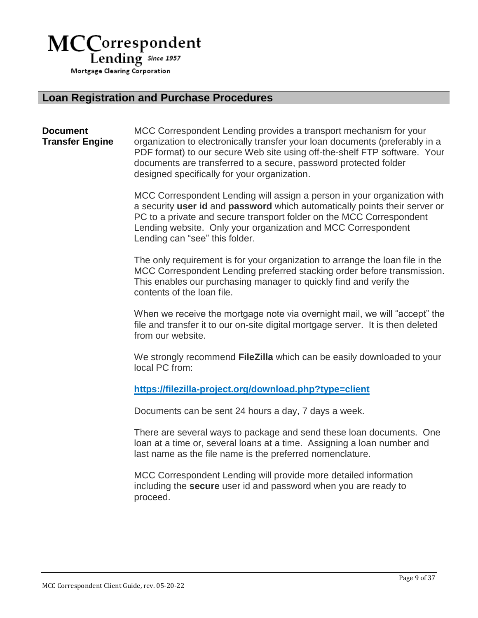### $\mathbf{M}\mathbf{C}\mathbf{C}$ orrespondent Lending Since 1957

Mortgage Clearing Corporation

#### **Loan Registration and Purchase Procedures**

**Document Transfer Engine** MCC Correspondent Lending provides a transport mechanism for your organization to electronically transfer your loan documents (preferably in a PDF format) to our secure Web site using off-the-shelf FTP software. Your documents are transferred to a secure, password protected folder designed specifically for your organization.

> MCC Correspondent Lending will assign a person in your organization with a security **user id** and **password** which automatically points their server or PC to a private and secure transport folder on the MCC Correspondent Lending website. Only your organization and MCC Correspondent Lending can "see" this folder.

> The only requirement is for your organization to arrange the loan file in the MCC Correspondent Lending preferred stacking order before transmission. This enables our purchasing manager to quickly find and verify the contents of the loan file.

> When we receive the mortgage note via overnight mail, we will "accept" the file and transfer it to our on-site digital mortgage server. It is then deleted from our website.

We strongly recommend **FileZilla** which can be easily downloaded to your local PC from:

**https://filezilla-project.org/download.php?type=client**

Documents can be sent 24 hours a day, 7 days a week.

There are several ways to package and send these loan documents. One loan at a time or, several loans at a time. Assigning a loan number and last name as the file name is the preferred nomenclature.

MCC Correspondent Lending will provide more detailed information including the **secure** user id and password when you are ready to proceed.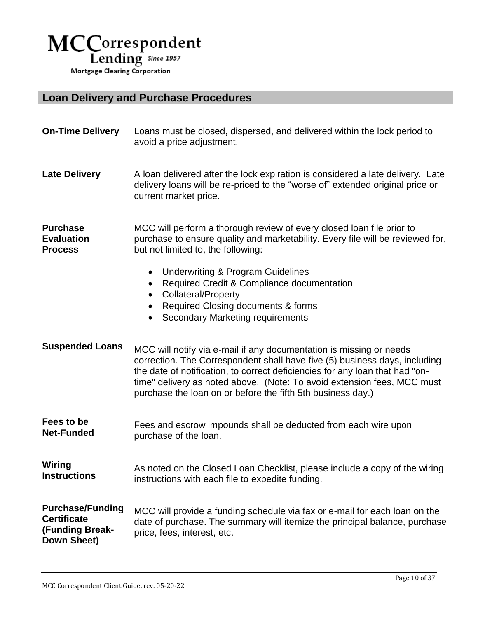### <span id="page-9-0"></span>**Loan Delivery and Purchase Procedures**

| <b>On-Time Delivery</b>                                                         | Loans must be closed, dispersed, and delivered within the lock period to<br>avoid a price adjustment.                                                                                                                                                                                                                                                                                                                               |  |
|---------------------------------------------------------------------------------|-------------------------------------------------------------------------------------------------------------------------------------------------------------------------------------------------------------------------------------------------------------------------------------------------------------------------------------------------------------------------------------------------------------------------------------|--|
| <b>Late Delivery</b>                                                            | A loan delivered after the lock expiration is considered a late delivery. Late<br>delivery loans will be re-priced to the "worse of" extended original price or<br>current market price.                                                                                                                                                                                                                                            |  |
| <b>Purchase</b><br><b>Evaluation</b><br><b>Process</b>                          | MCC will perform a thorough review of every closed loan file prior to<br>purchase to ensure quality and marketability. Every file will be reviewed for,<br>but not limited to, the following:<br><b>Underwriting &amp; Program Guidelines</b><br>$\bullet$<br>Required Credit & Compliance documentation<br>$\bullet$<br><b>Collateral/Property</b><br>Required Closing documents & forms<br>$\bullet$                              |  |
| <b>Suspended Loans</b>                                                          | <b>Secondary Marketing requirements</b><br>$\bullet$<br>MCC will notify via e-mail if any documentation is missing or needs<br>correction. The Correspondent shall have five (5) business days, including<br>the date of notification, to correct deficiencies for any loan that had "on-<br>time" delivery as noted above. (Note: To avoid extension fees, MCC must<br>purchase the loan on or before the fifth 5th business day.) |  |
| Fees to be<br><b>Net-Funded</b>                                                 | Fees and escrow impounds shall be deducted from each wire upon<br>purchase of the loan.                                                                                                                                                                                                                                                                                                                                             |  |
| Wiring<br><b>Instructions</b>                                                   | As noted on the Closed Loan Checklist, please include a copy of the wiring<br>instructions with each file to expedite funding.                                                                                                                                                                                                                                                                                                      |  |
| <b>Purchase/Funding</b><br><b>Certificate</b><br>(Funding Break-<br>Down Sheet) | MCC will provide a funding schedule via fax or e-mail for each loan on the<br>date of purchase. The summary will itemize the principal balance, purchase<br>price, fees, interest, etc.                                                                                                                                                                                                                                             |  |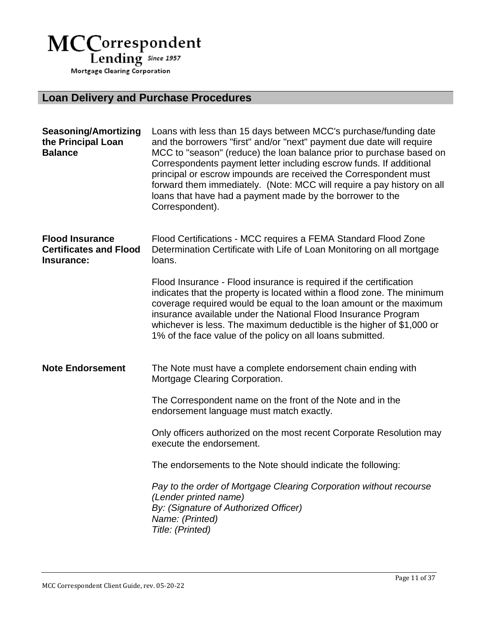### **Loan Delivery and Purchase Procedures**

| <b>Seasoning/Amortizing</b><br>the Principal Loan<br><b>Balance</b>   | Loans with less than 15 days between MCC's purchase/funding date<br>and the borrowers "first" and/or "next" payment due date will require<br>MCC to "season" (reduce) the loan balance prior to purchase based on<br>Correspondents payment letter including escrow funds. If additional<br>principal or escrow impounds are received the Correspondent must<br>forward them immediately. (Note: MCC will require a pay history on all<br>loans that have had a payment made by the borrower to the<br>Correspondent). |
|-----------------------------------------------------------------------|------------------------------------------------------------------------------------------------------------------------------------------------------------------------------------------------------------------------------------------------------------------------------------------------------------------------------------------------------------------------------------------------------------------------------------------------------------------------------------------------------------------------|
| <b>Flood Insurance</b><br><b>Certificates and Flood</b><br>Insurance: | Flood Certifications - MCC requires a FEMA Standard Flood Zone<br>Determination Certificate with Life of Loan Monitoring on all mortgage<br>loans.                                                                                                                                                                                                                                                                                                                                                                     |
|                                                                       | Flood Insurance - Flood insurance is required if the certification<br>indicates that the property is located within a flood zone. The minimum<br>coverage required would be equal to the loan amount or the maximum<br>insurance available under the National Flood Insurance Program<br>whichever is less. The maximum deductible is the higher of \$1,000 or<br>1% of the face value of the policy on all loans submitted.                                                                                           |
| <b>Note Endorsement</b>                                               | The Note must have a complete endorsement chain ending with<br>Mortgage Clearing Corporation.                                                                                                                                                                                                                                                                                                                                                                                                                          |
|                                                                       | The Correspondent name on the front of the Note and in the<br>endorsement language must match exactly.                                                                                                                                                                                                                                                                                                                                                                                                                 |
|                                                                       | Only officers authorized on the most recent Corporate Resolution may<br>execute the endorsement.                                                                                                                                                                                                                                                                                                                                                                                                                       |
|                                                                       | The endorsements to the Note should indicate the following:                                                                                                                                                                                                                                                                                                                                                                                                                                                            |
|                                                                       | Pay to the order of Mortgage Clearing Corporation without recourse<br>(Lender printed name)<br>By: (Signature of Authorized Officer)<br>Name: (Printed)<br>Title: (Printed)                                                                                                                                                                                                                                                                                                                                            |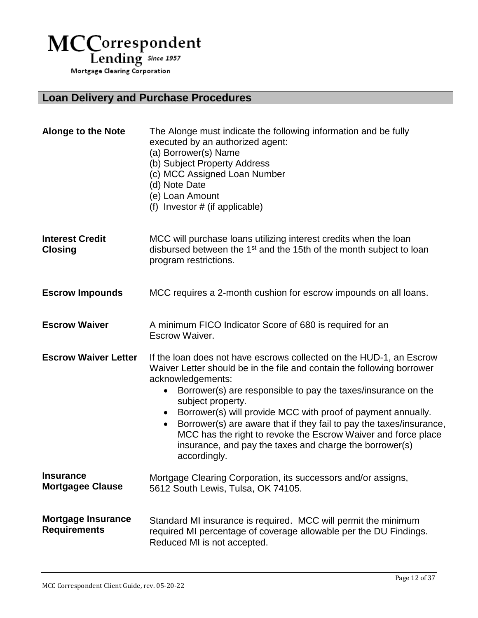### **Loan Delivery and Purchase Procedures**

| <b>Alonge to the Note</b>                        | The Alonge must indicate the following information and be fully<br>executed by an authorized agent:<br>(a) Borrower(s) Name<br>(b) Subject Property Address<br>(c) MCC Assigned Loan Number<br>(d) Note Date<br>(e) Loan Amount<br>(f) Investor $#$ (if applicable)                                                                                                                                                                                                                                                                                        |
|--------------------------------------------------|------------------------------------------------------------------------------------------------------------------------------------------------------------------------------------------------------------------------------------------------------------------------------------------------------------------------------------------------------------------------------------------------------------------------------------------------------------------------------------------------------------------------------------------------------------|
| <b>Interest Credit</b><br><b>Closing</b>         | MCC will purchase loans utilizing interest credits when the loan<br>disbursed between the 1 <sup>st</sup> and the 15th of the month subject to loan<br>program restrictions.                                                                                                                                                                                                                                                                                                                                                                               |
| <b>Escrow Impounds</b>                           | MCC requires a 2-month cushion for escrow impounds on all loans.                                                                                                                                                                                                                                                                                                                                                                                                                                                                                           |
| <b>Escrow Waiver</b>                             | A minimum FICO Indicator Score of 680 is required for an<br><b>Escrow Waiver.</b>                                                                                                                                                                                                                                                                                                                                                                                                                                                                          |
| <b>Escrow Waiver Letter</b>                      | If the loan does not have escrows collected on the HUD-1, an Escrow<br>Waiver Letter should be in the file and contain the following borrower<br>acknowledgements:<br>Borrower(s) are responsible to pay the taxes/insurance on the<br>subject property.<br>• Borrower(s) will provide MCC with proof of payment annually.<br>Borrower(s) are aware that if they fail to pay the taxes/insurance,<br>$\bullet$<br>MCC has the right to revoke the Escrow Waiver and force place<br>insurance, and pay the taxes and charge the borrower(s)<br>accordingly. |
| <b>Insurance</b><br><b>Mortgagee Clause</b>      | Mortgage Clearing Corporation, its successors and/or assigns,<br>5612 South Lewis, Tulsa, OK 74105.                                                                                                                                                                                                                                                                                                                                                                                                                                                        |
| <b>Mortgage Insurance</b><br><b>Requirements</b> | Standard MI insurance is required. MCC will permit the minimum<br>required MI percentage of coverage allowable per the DU Findings.<br>Reduced MI is not accepted.                                                                                                                                                                                                                                                                                                                                                                                         |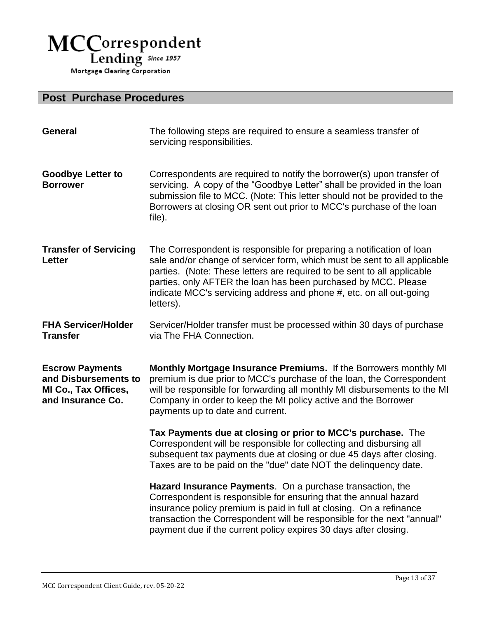### <span id="page-12-0"></span>**Post Purchase Procedures**

| <b>General</b>                                                                              | The following steps are required to ensure a seamless transfer of<br>servicing responsibilities.                                                                                                                                                                                                                                                                                    |
|---------------------------------------------------------------------------------------------|-------------------------------------------------------------------------------------------------------------------------------------------------------------------------------------------------------------------------------------------------------------------------------------------------------------------------------------------------------------------------------------|
| <b>Goodbye Letter to</b><br><b>Borrower</b>                                                 | Correspondents are required to notify the borrower(s) upon transfer of<br>servicing. A copy of the "Goodbye Letter" shall be provided in the loan<br>submission file to MCC. (Note: This letter should not be provided to the<br>Borrowers at closing OR sent out prior to MCC's purchase of the loan<br>file).                                                                     |
| <b>Transfer of Servicing</b><br><b>Letter</b>                                               | The Correspondent is responsible for preparing a notification of loan<br>sale and/or change of servicer form, which must be sent to all applicable<br>parties. (Note: These letters are required to be sent to all applicable<br>parties, only AFTER the loan has been purchased by MCC. Please<br>indicate MCC's servicing address and phone #, etc. on all out-going<br>letters). |
| <b>FHA Servicer/Holder</b><br><b>Transfer</b>                                               | Servicer/Holder transfer must be processed within 30 days of purchase<br>via The FHA Connection.                                                                                                                                                                                                                                                                                    |
| <b>Escrow Payments</b><br>and Disbursements to<br>MI Co., Tax Offices,<br>and Insurance Co. | Monthly Mortgage Insurance Premiums. If the Borrowers monthly MI<br>premium is due prior to MCC's purchase of the loan, the Correspondent<br>will be responsible for forwarding all monthly MI disbursements to the MI<br>Company in order to keep the MI policy active and the Borrower<br>payments up to date and current.                                                        |
|                                                                                             | Tax Payments due at closing or prior to MCC's purchase. The<br>Correspondent will be responsible for collecting and disbursing all<br>subsequent tax payments due at closing or due 45 days after closing.<br>Taxes are to be paid on the "due" date NOT the delinguency date.                                                                                                      |
|                                                                                             | Hazard Insurance Payments. On a purchase transaction, the<br>Correspondent is responsible for ensuring that the annual hazard<br>insurance policy premium is paid in full at closing. On a refinance<br>transaction the Correspondent will be responsible for the next "annual"<br>payment due if the current policy expires 30 days after closing.                                 |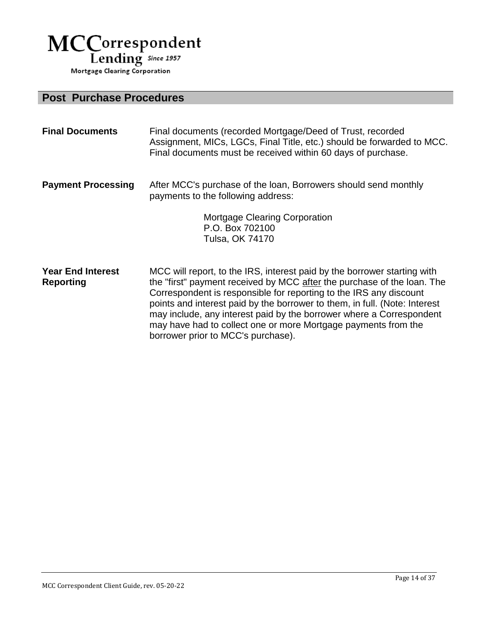### **Post Purchase Procedures**

| <b>Final Documents</b>                       | Final documents (recorded Mortgage/Deed of Trust, recorded<br>Assignment, MICs, LGCs, Final Title, etc.) should be forwarded to MCC.<br>Final documents must be received within 60 days of purchase.                                                                                                                                                                                                                                                                                    |
|----------------------------------------------|-----------------------------------------------------------------------------------------------------------------------------------------------------------------------------------------------------------------------------------------------------------------------------------------------------------------------------------------------------------------------------------------------------------------------------------------------------------------------------------------|
| <b>Payment Processing</b>                    | After MCC's purchase of the loan, Borrowers should send monthly<br>payments to the following address:                                                                                                                                                                                                                                                                                                                                                                                   |
|                                              | <b>Mortgage Clearing Corporation</b><br>P.O. Box 702100<br><b>Tulsa, OK 74170</b>                                                                                                                                                                                                                                                                                                                                                                                                       |
| <b>Year End Interest</b><br><b>Reporting</b> | MCC will report, to the IRS, interest paid by the borrower starting with<br>the "first" payment received by MCC after the purchase of the loan. The<br>Correspondent is responsible for reporting to the IRS any discount<br>points and interest paid by the borrower to them, in full. (Note: Interest<br>may include, any interest paid by the borrower where a Correspondent<br>may have had to collect one or more Mortgage payments from the<br>borrower prior to MCC's purchase). |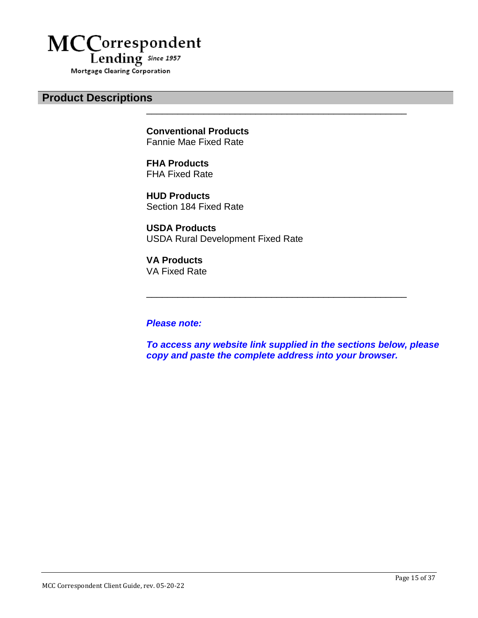### MCCorrespondent Lending Since 1957

Mortgage Clearing Corporation

#### <span id="page-14-0"></span>**Product Descriptions**

**Conventional Products**  Fannie Mae Fixed Rate

**FHA Products**  FHA Fixed Rate

**HUD Products**  Section 184 Fixed Rate

**USDA Products**  USDA Rural Development Fixed Rate

**VA Products**  VA Fixed Rate

*Please note:* 

*To access any website link supplied in the sections below, please copy and paste the complete address into your browser.*

\_\_\_\_\_\_\_\_\_\_\_\_\_\_\_\_\_\_\_\_\_\_\_\_\_\_\_\_\_\_\_\_\_\_\_\_\_\_\_\_\_\_\_\_\_\_\_\_\_\_

\_\_\_\_\_\_\_\_\_\_\_\_\_\_\_\_\_\_\_\_\_\_\_\_\_\_\_\_\_\_\_\_\_\_\_\_\_\_\_\_\_\_\_\_\_\_\_\_\_\_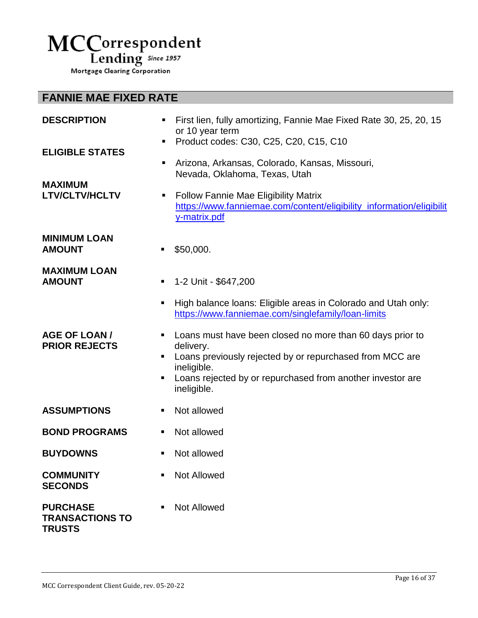<span id="page-15-0"></span>

| <b>FANNIE MAE FIXED RATE</b>                               |                                                                                                                                                                                                                                               |  |
|------------------------------------------------------------|-----------------------------------------------------------------------------------------------------------------------------------------------------------------------------------------------------------------------------------------------|--|
| <b>DESCRIPTION</b><br><b>ELIGIBLE STATES</b>               | First lien, fully amortizing, Fannie Mae Fixed Rate 30, 25, 20, 15<br>п<br>or 10 year term<br>Product codes: C30, C25, C20, C15, C10<br>٠                                                                                                     |  |
|                                                            | Arizona, Arkansas, Colorado, Kansas, Missouri,<br>п<br>Nevada, Oklahoma, Texas, Utah                                                                                                                                                          |  |
| <b>MAXIMUM</b><br><b>LTV/CLTV/HCLTV</b>                    | <b>Follow Fannie Mae Eligibility Matrix</b><br>٠<br>https://www.fanniemae.com/content/eligibility_information/eligibilit<br>y-matrix.pdf                                                                                                      |  |
| <b>MINIMUM LOAN</b><br><b>AMOUNT</b>                       | \$50,000.<br>٠                                                                                                                                                                                                                                |  |
| <b>MAXIMUM LOAN</b><br><b>AMOUNT</b>                       | 1-2 Unit - \$647,200<br>ш                                                                                                                                                                                                                     |  |
|                                                            | High balance loans: Eligible areas in Colorado and Utah only:<br>٠<br>https://www.fanniemae.com/singlefamily/loan-limits                                                                                                                      |  |
| <b>AGE OF LOAN /</b><br><b>PRIOR REJECTS</b>               | Loans must have been closed no more than 60 days prior to<br>٠<br>delivery.<br>Loans previously rejected by or repurchased from MCC are<br>п<br>ineligible.<br>Loans rejected by or repurchased from another investor are<br>ш<br>ineligible. |  |
| <b>ASSUMPTIONS</b>                                         | Not allowed<br>٠                                                                                                                                                                                                                              |  |
| <b>BOND PROGRAMS</b>                                       | Not allowed<br>٠                                                                                                                                                                                                                              |  |
| <b>BUYDOWNS</b>                                            | Not allowed                                                                                                                                                                                                                                   |  |
| <b>COMMUNITY</b><br><b>SECONDS</b>                         | <b>Not Allowed</b><br>٠                                                                                                                                                                                                                       |  |
| <b>PURCHASE</b><br><b>TRANSACTIONS TO</b><br><b>TRUSTS</b> | <b>Not Allowed</b><br>٠                                                                                                                                                                                                                       |  |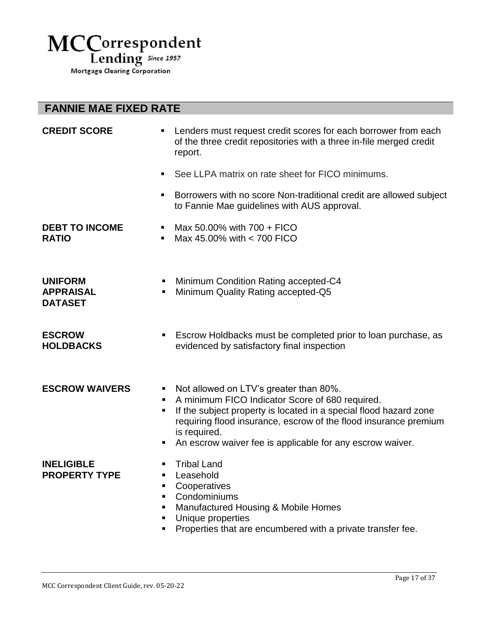

### **FANNIE MAE FIXED RATE**

| <b>CREDIT SCORE</b>                                  | п                     | Lenders must request credit scores for each borrower from each<br>of the three credit repositories with a three in-file merged credit<br>report.                                                                                                                                                                |
|------------------------------------------------------|-----------------------|-----------------------------------------------------------------------------------------------------------------------------------------------------------------------------------------------------------------------------------------------------------------------------------------------------------------|
|                                                      | п.                    | See LLPA matrix on rate sheet for FICO minimums.                                                                                                                                                                                                                                                                |
|                                                      | п                     | Borrowers with no score Non-traditional credit are allowed subject<br>to Fannie Mae guidelines with AUS approval.                                                                                                                                                                                               |
| <b>DEBT TO INCOME</b><br><b>RATIO</b>                | п<br>п.               | Max 50.00% with 700 + FICO<br>Max 45.00% with < 700 FICO                                                                                                                                                                                                                                                        |
| <b>UNIFORM</b><br><b>APPRAISAL</b><br><b>DATASET</b> | п<br>ш                | Minimum Condition Rating accepted-C4<br>Minimum Quality Rating accepted-Q5                                                                                                                                                                                                                                      |
| <b>ESCROW</b><br><b>HOLDBACKS</b>                    | ш                     | Escrow Holdbacks must be completed prior to loan purchase, as<br>evidenced by satisfactory final inspection                                                                                                                                                                                                     |
| <b>ESCROW WAIVERS</b>                                | ٠<br>٠<br>Е           | Not allowed on LTV's greater than 80%.<br>A minimum FICO Indicator Score of 680 required.<br>If the subject property is located in a special flood hazard zone<br>requiring flood insurance, escrow of the flood insurance premium<br>is required.<br>An escrow waiver fee is applicable for any escrow waiver. |
| <b>INELIGIBLE</b><br><b>PROPERTY TYPE</b>            | ٠<br>٠<br>٠<br>٠<br>٠ | <b>Tribal Land</b><br>Leasehold<br>Cooperatives<br>Condominiums<br>Manufactured Housing & Mobile Homes<br>Unique properties<br>Properties that are encumbered with a private transfer fee.                                                                                                                      |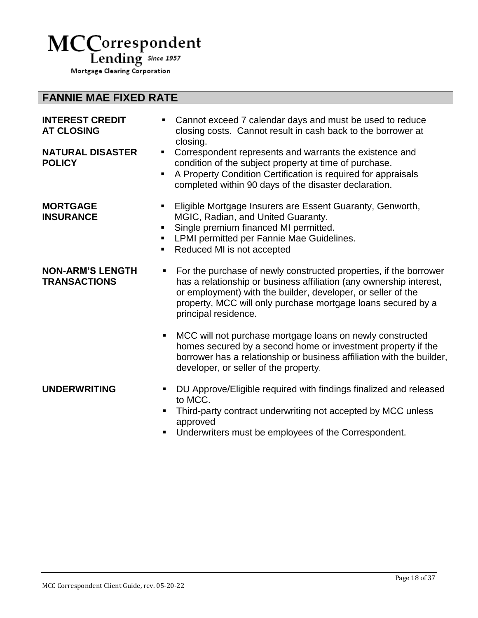### **FANNIE MAE FIXED RATE**

| <b>INTEREST CREDIT</b><br><b>AT CLOSING</b><br><b>NATURAL DISASTER</b><br>п<br><b>POLICY</b><br>$\blacksquare$ | Cannot exceed 7 calendar days and must be used to reduce<br>π.<br>closing costs. Cannot result in cash back to the borrower at<br>closing.<br>Correspondent represents and warrants the existence and<br>condition of the subject property at time of purchase.<br>A Property Condition Certification is required for appraisals<br>completed within 90 days of the disaster declaration. |
|----------------------------------------------------------------------------------------------------------------|-------------------------------------------------------------------------------------------------------------------------------------------------------------------------------------------------------------------------------------------------------------------------------------------------------------------------------------------------------------------------------------------|
| <b>MORTGAGE</b><br>٠<br><b>INSURANCE</b><br>٠<br>$\blacksquare$<br>٠                                           | Eligible Mortgage Insurers are Essent Guaranty, Genworth,<br>MGIC, Radian, and United Guaranty.<br>Single premium financed MI permitted.<br>LPMI permitted per Fannie Mae Guidelines.<br>Reduced MI is not accepted                                                                                                                                                                       |
| <b>NON-ARM'S LENGTH</b><br><b>TRANSACTIONS</b>                                                                 | For the purchase of newly constructed properties, if the borrower<br>$\blacksquare$<br>has a relationship or business affiliation (any ownership interest,<br>or employment) with the builder, developer, or seller of the<br>property, MCC will only purchase mortgage loans secured by a<br>principal residence.                                                                        |
|                                                                                                                | MCC will not purchase mortgage loans on newly constructed<br>$\blacksquare$<br>homes secured by a second home or investment property if the<br>borrower has a relationship or business affiliation with the builder,<br>developer, or seller of the property.                                                                                                                             |
| <b>UNDERWRITING</b>                                                                                            | DU Approve/Eligible required with findings finalized and released<br>to MCC.<br>Third-party contract underwriting not accepted by MCC unless<br>п<br>approved<br>Underwriters must be employees of the Correspondent.<br>$\blacksquare$                                                                                                                                                   |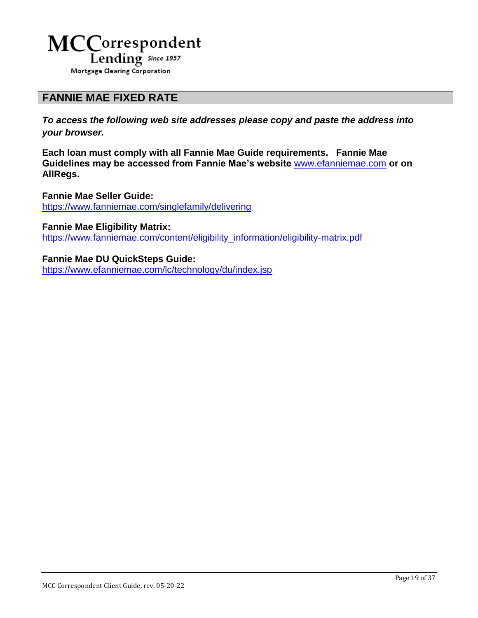

#### **FANNIE MAE FIXED RATE**

*To access the following web site addresses please copy and paste the address into your browser.*

**Each loan must comply with all Fannie Mae Guide requirements. Fannie Mae Guidelines may be accessed from Fannie Mae's website** [www.efanniemae.com](http://www.efanniemae.com/) **or on AllRegs.** 

**Fannie Mae Seller Guide:** <https://www.fanniemae.com/singlefamily/delivering>

**Fannie Mae Eligibility Matrix:**  [https://www.fanniemae.com/content/eligibility\\_information/eligibility-matrix.pdf](https://www.fanniemae.com/content/eligibility_information/eligibility-matrix.pdf)

**Fannie Mae DU QuickSteps Guide:**  <https://www.efanniemae.com/lc/technology/du/index.jsp>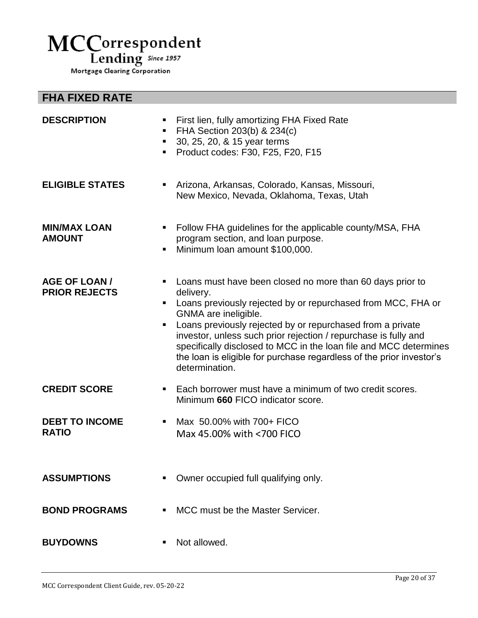<span id="page-19-0"></span>

| <b>FHA FIXED RATE</b>                        |                                                                                                                                                                                                                                                                                                                                                                                                                                                                          |
|----------------------------------------------|--------------------------------------------------------------------------------------------------------------------------------------------------------------------------------------------------------------------------------------------------------------------------------------------------------------------------------------------------------------------------------------------------------------------------------------------------------------------------|
| <b>DESCRIPTION</b>                           | First lien, fully amortizing FHA Fixed Rate<br>FHA Section 203(b) & 234(c)<br>п<br>30, 25, 20, & 15 year terms<br>п<br>Product codes: F30, F25, F20, F15<br>٠                                                                                                                                                                                                                                                                                                            |
| <b>ELIGIBLE STATES</b>                       | Arizona, Arkansas, Colorado, Kansas, Missouri,<br>п<br>New Mexico, Nevada, Oklahoma, Texas, Utah                                                                                                                                                                                                                                                                                                                                                                         |
| <b>MIN/MAX LOAN</b><br><b>AMOUNT</b>         | Follow FHA guidelines for the applicable county/MSA, FHA<br>п.<br>program section, and loan purpose.<br>Minimum Ioan amount \$100,000.<br>٠                                                                                                                                                                                                                                                                                                                              |
| <b>AGE OF LOAN /</b><br><b>PRIOR REJECTS</b> | Loans must have been closed no more than 60 days prior to<br>delivery.<br>Loans previously rejected by or repurchased from MCC, FHA or<br>ш<br>GNMA are ineligible.<br>Loans previously rejected by or repurchased from a private<br>ш<br>investor, unless such prior rejection / repurchase is fully and<br>specifically disclosed to MCC in the loan file and MCC determines<br>the loan is eligible for purchase regardless of the prior investor's<br>determination. |
| <b>CREDIT SCORE</b>                          | Each borrower must have a minimum of two credit scores.<br>п<br>Minimum 660 FICO indicator score.                                                                                                                                                                                                                                                                                                                                                                        |
| <b>DEBT TO INCOME</b><br><b>RATIO</b>        | Max 50.00% with 700+ FICO<br>Max 45.00% with <700 FICO                                                                                                                                                                                                                                                                                                                                                                                                                   |
| <b>ASSUMPTIONS</b>                           | Owner occupied full qualifying only.                                                                                                                                                                                                                                                                                                                                                                                                                                     |
| <b>BOND PROGRAMS</b>                         | MCC must be the Master Servicer.                                                                                                                                                                                                                                                                                                                                                                                                                                         |
| <b>BUYDOWNS</b>                              | Not allowed.                                                                                                                                                                                                                                                                                                                                                                                                                                                             |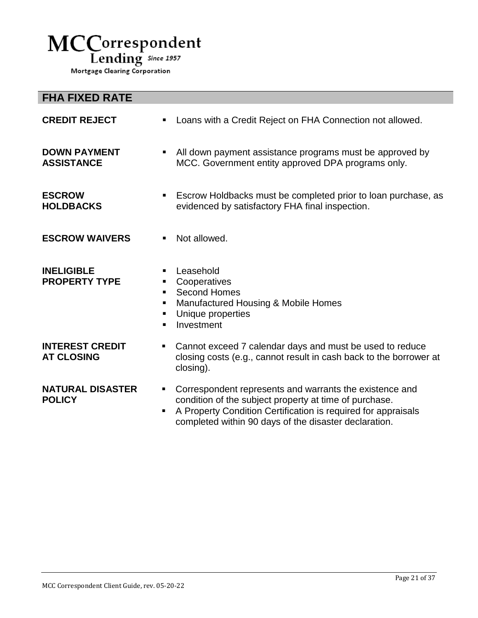# $\mathbf{MC} \mathbf{Correspondent} \underset{\mathsf{Mort} \text{gage Clearing Corporation}}{\mathbf{Lengthed}}$

| <b>FHA FIXED RATE</b>                       |                                                                                                                                                                                                                                                                                 |
|---------------------------------------------|---------------------------------------------------------------------------------------------------------------------------------------------------------------------------------------------------------------------------------------------------------------------------------|
| <b>CREDIT REJECT</b>                        | Loans with a Credit Reject on FHA Connection not allowed.<br>$\blacksquare$                                                                                                                                                                                                     |
| <b>DOWN PAYMENT</b><br><b>ASSISTANCE</b>    | All down payment assistance programs must be approved by<br>п<br>MCC. Government entity approved DPA programs only.                                                                                                                                                             |
| <b>ESCROW</b><br><b>HOLDBACKS</b>           | Escrow Holdbacks must be completed prior to loan purchase, as<br>п<br>evidenced by satisfactory FHA final inspection.                                                                                                                                                           |
| <b>ESCROW WAIVERS</b>                       | Not allowed.<br>٠                                                                                                                                                                                                                                                               |
| <b>INELIGIBLE</b><br><b>PROPERTY TYPE</b>   | Leasehold<br>٠<br>Cooperatives<br>٠<br><b>Second Homes</b><br>٠<br>Manufactured Housing & Mobile Homes<br>٠<br>Unique properties<br>$\blacksquare$<br>Investment<br>п                                                                                                           |
| <b>INTEREST CREDIT</b><br><b>AT CLOSING</b> | Cannot exceed 7 calendar days and must be used to reduce<br>п<br>closing costs (e.g., cannot result in cash back to the borrower at<br>closing).                                                                                                                                |
| <b>NATURAL DISASTER</b><br><b>POLICY</b>    | Correspondent represents and warrants the existence and<br>$\blacksquare$<br>condition of the subject property at time of purchase.<br>A Property Condition Certification is required for appraisals<br>$\blacksquare$<br>completed within 90 days of the disaster declaration. |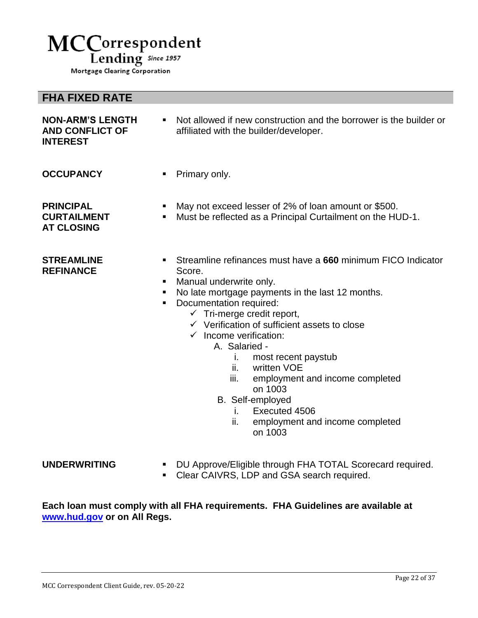**FHA FIXED RATE**

| <b>NON-ARM'S LENGTH</b><br><b>AND CONFLICT OF</b><br><b>INTEREST</b> | Not allowed if new construction and the borrower is the builder or<br>п<br>affiliated with the builder/developer.                                                                                                                                                                                                                                                                                                                                                                                                                                                                                    |
|----------------------------------------------------------------------|------------------------------------------------------------------------------------------------------------------------------------------------------------------------------------------------------------------------------------------------------------------------------------------------------------------------------------------------------------------------------------------------------------------------------------------------------------------------------------------------------------------------------------------------------------------------------------------------------|
| <b>OCCUPANCY</b>                                                     | Primary only.<br>٠                                                                                                                                                                                                                                                                                                                                                                                                                                                                                                                                                                                   |
| <b>PRINCIPAL</b><br><b>CURTAILMENT</b><br><b>AT CLOSING</b>          | May not exceed lesser of 2% of loan amount or \$500.<br>п<br>Must be reflected as a Principal Curtailment on the HUD-1.<br>п                                                                                                                                                                                                                                                                                                                                                                                                                                                                         |
| <b>STREAMLINE</b><br><b>REFINANCE</b>                                | Streamline refinances must have a 660 minimum FICO Indicator<br>٠<br>Score.<br>Manual underwrite only.<br>$\blacksquare$<br>No late mortgage payments in the last 12 months.<br>Е<br>Documentation required:<br>$\blacksquare$<br>$\checkmark$ Tri-merge credit report,<br>$\checkmark$ Verification of sufficient assets to close<br>Income verification:<br>$\checkmark$<br>A. Salaried -<br>most recent paystub<br>i.<br>ii.<br>written VOE<br>iii.<br>employment and income completed<br>on 1003<br>B. Self-employed<br>Executed 4506<br>i.<br>employment and income completed<br>ii.<br>on 1003 |
| <b>UNDERWRITING</b>                                                  | DU Approve/Eligible through FHA TOTAL Scorecard required.<br>٠                                                                                                                                                                                                                                                                                                                                                                                                                                                                                                                                       |

**Clear CAIVRS, LDP and GSA search required.** 

**Each loan must comply with all FHA requirements. FHA Guidelines are available at [www.hud.gov](http://www.hud.gov/) or on All Regs.**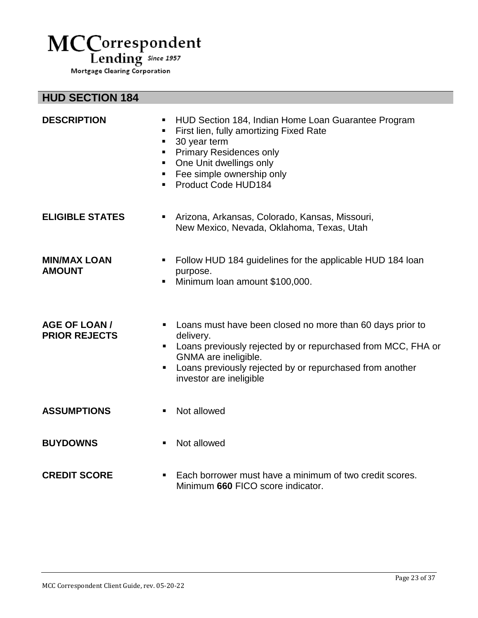### <span id="page-22-0"></span>**HUD SECTION 184**

| <b>DESCRIPTION</b><br>п<br>٠<br>٠<br>п                      | HUD Section 184, Indian Home Loan Guarantee Program<br>First lien, fully amortizing Fixed Rate<br>30 year term<br><b>Primary Residences only</b><br>One Unit dwellings only<br>Fee simple ownership only<br>Product Code HUD184                       |
|-------------------------------------------------------------|-------------------------------------------------------------------------------------------------------------------------------------------------------------------------------------------------------------------------------------------------------|
| <b>ELIGIBLE STATES</b><br>п                                 | Arizona, Arkansas, Colorado, Kansas, Missouri,<br>New Mexico, Nevada, Oklahoma, Texas, Utah                                                                                                                                                           |
| <b>MIN/MAX LOAN</b><br>п<br><b>AMOUNT</b><br>$\blacksquare$ | Follow HUD 184 guidelines for the applicable HUD 184 loan<br>purpose.<br>Minimum Ioan amount \$100,000.                                                                                                                                               |
| <b>AGE OF LOAN /</b><br><b>PRIOR REJECTS</b><br>п.<br>Е     | Loans must have been closed no more than 60 days prior to<br>delivery.<br>Loans previously rejected by or repurchased from MCC, FHA or<br>GNMA are ineligible.<br>Loans previously rejected by or repurchased from another<br>investor are ineligible |
| <b>ASSUMPTIONS</b><br>٠                                     | Not allowed                                                                                                                                                                                                                                           |
| <b>BUYDOWNS</b>                                             | Not allowed                                                                                                                                                                                                                                           |
| <b>CREDIT SCORE</b><br>п                                    | Each borrower must have a minimum of two credit scores.<br>Minimum 660 FICO score indicator.                                                                                                                                                          |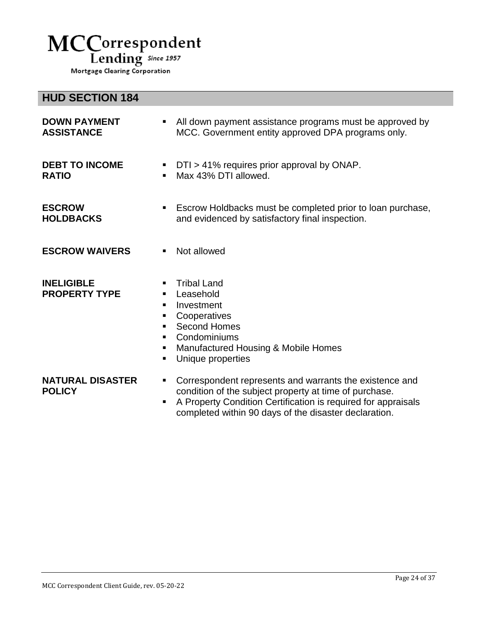#### **HUD SECTION 184**

| <b>DOWN PAYMENT</b><br><b>ASSISTANCE</b>  | ٠                               | All down payment assistance programs must be approved by<br>MCC. Government entity approved DPA programs only.                                                                                                                              |
|-------------------------------------------|---------------------------------|---------------------------------------------------------------------------------------------------------------------------------------------------------------------------------------------------------------------------------------------|
| <b>DEBT TO INCOME</b><br><b>RATIO</b>     | ш                               | DTI > 41% requires prior approval by ONAP.<br>Max 43% DTI allowed.                                                                                                                                                                          |
| <b>ESCROW</b><br><b>HOLDBACKS</b>         | п                               | Escrow Holdbacks must be completed prior to loan purchase,<br>and evidenced by satisfactory final inspection.                                                                                                                               |
| <b>ESCROW WAIVERS</b>                     | ٠                               | Not allowed                                                                                                                                                                                                                                 |
| <b>INELIGIBLE</b><br><b>PROPERTY TYPE</b> | п<br>٠<br>ш<br>٠<br>п<br>п<br>ш | <b>Tribal Land</b><br>Leasehold<br>Investment<br>Cooperatives<br><b>Second Homes</b><br>Condominiums<br>Manufactured Housing & Mobile Homes<br>Unique properties                                                                            |
| <b>NATURAL DISASTER</b><br><b>POLICY</b>  | п<br>п                          | Correspondent represents and warrants the existence and<br>condition of the subject property at time of purchase.<br>A Property Condition Certification is required for appraisals<br>completed within 90 days of the disaster declaration. |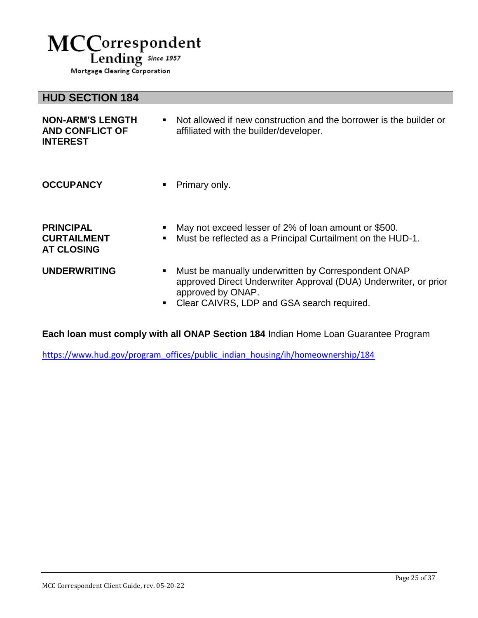#### **HUD SECTION 184**

| <b>NON-ARM'S LENGTH</b><br><b>AND CONFLICT OF</b><br><b>INTEREST</b> | ٠      | Not allowed if new construction and the borrower is the builder or<br>affiliated with the builder/developer.                                                                               |
|----------------------------------------------------------------------|--------|--------------------------------------------------------------------------------------------------------------------------------------------------------------------------------------------|
| <b>OCCUPANCY</b>                                                     | ٠      | Primary only.                                                                                                                                                                              |
| <b>PRINCIPAL</b><br><b>CURTAILMENT</b><br><b>AT CLOSING</b>          | ٠<br>٠ | May not exceed lesser of 2% of loan amount or \$500.<br>Must be reflected as a Principal Curtailment on the HUD-1.                                                                         |
| <b>UNDERWRITING</b>                                                  | п<br>٠ | Must be manually underwritten by Correspondent ONAP<br>approved Direct Underwriter Approval (DUA) Underwriter, or prior<br>approved by ONAP.<br>Clear CAIVRS, LDP and GSA search required. |

**Each loan must comply with all ONAP Section 184** Indian Home Loan Guarantee Program

[https://www.hud.gov/program\\_offices/public\\_indian\\_housing/ih/homeownership/184](https://nam11.safelinks.protection.outlook.com/?url=https%3A%2F%2Fwww.hud.gov%2Fprogram_offices%2Fpublic_indian_housing%2Fih%2Fhomeownership%2F184&data=02%7C01%7C%7C5b1ff4fa6bb3471c493e08d7fb6ec9e0%7C84df9e7fe9f640afb435aaaaaaaaaaaa%7C1%7C0%7C637254325552862927&sdata=6%2BqHvBwU8NGebRzUevTCXfKsBtO13J3Xo%2Br2pJMejBo%3D&reserved=0)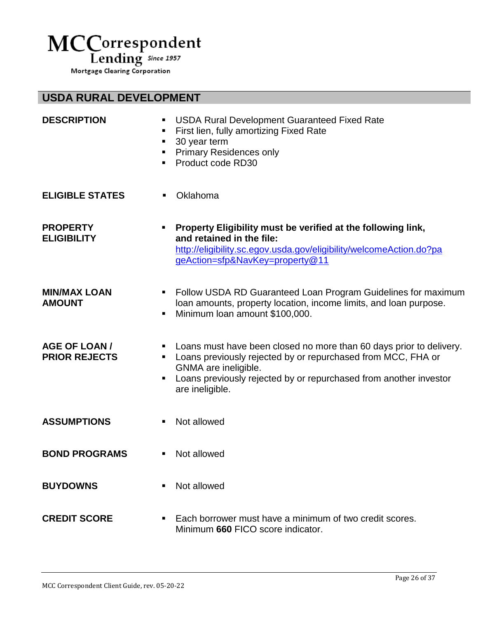<span id="page-25-0"></span>**USDA RURAL DEVELOPMENT** 

| <b>DESCRIPTION</b><br>п<br>п<br>п<br>٠                      | <b>USDA Rural Development Guaranteed Fixed Rate</b><br>First lien, fully amortizing Fixed Rate<br>30 year term<br><b>Primary Residences only</b><br>Product code RD30                                                                               |
|-------------------------------------------------------------|-----------------------------------------------------------------------------------------------------------------------------------------------------------------------------------------------------------------------------------------------------|
| <b>ELIGIBLE STATES</b><br>٠                                 | Oklahoma                                                                                                                                                                                                                                            |
| <b>PROPERTY</b><br>п<br><b>ELIGIBILITY</b>                  | Property Eligibility must be verified at the following link,<br>and retained in the file:<br>http://eligibility.sc.egov.usda.gov/eligibility/welcomeAction.do?pa<br>geAction=sfp&NavKey=property@11                                                 |
| <b>MIN/MAX LOAN</b><br>ш<br><b>AMOUNT</b><br>п              | Follow USDA RD Guaranteed Loan Program Guidelines for maximum<br>loan amounts, property location, income limits, and loan purpose.<br>Minimum Ioan amount \$100,000.                                                                                |
| <b>AGE OF LOAN /</b><br>п<br><b>PRIOR REJECTS</b><br>п<br>ш | Loans must have been closed no more than 60 days prior to delivery.<br>Loans previously rejected by or repurchased from MCC, FHA or<br>GNMA are ineligible.<br>Loans previously rejected by or repurchased from another investor<br>are ineligible. |
| <b>ASSUMPTIONS</b><br>٠                                     | Not allowed                                                                                                                                                                                                                                         |
| <b>BOND PROGRAMS</b><br>٠                                   | Not allowed                                                                                                                                                                                                                                         |
| <b>BUYDOWNS</b><br>٠                                        | Not allowed                                                                                                                                                                                                                                         |
| <b>CREDIT SCORE</b><br>٠                                    | Each borrower must have a minimum of two credit scores.<br>Minimum 660 FICO score indicator.                                                                                                                                                        |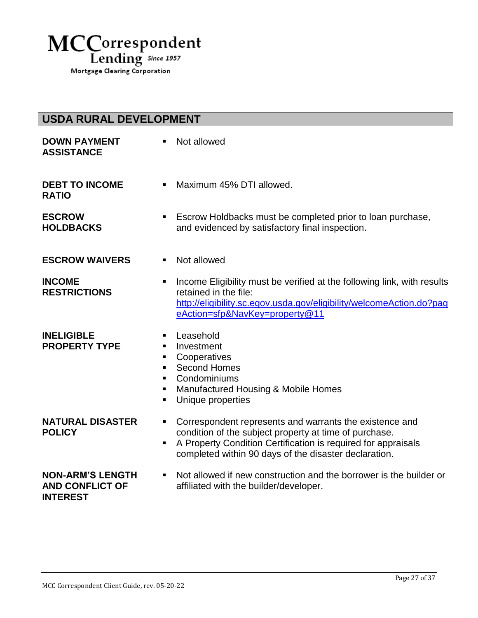

### **USDA RURAL DEVELOPMENT**

| <b>DOWN PAYMENT</b><br><b>ASSISTANCE</b>                             | Not allowed                                                                                                                                                                                                                                 |
|----------------------------------------------------------------------|---------------------------------------------------------------------------------------------------------------------------------------------------------------------------------------------------------------------------------------------|
| <b>DEBT TO INCOME</b><br><b>RATIO</b>                                | Maximum 45% DTI allowed.                                                                                                                                                                                                                    |
| <b>ESCROW</b><br><b>HOLDBACKS</b>                                    | Escrow Holdbacks must be completed prior to loan purchase,<br>and evidenced by satisfactory final inspection.                                                                                                                               |
| <b>ESCROW WAIVERS</b>                                                | Not allowed<br>$\blacksquare$                                                                                                                                                                                                               |
| <b>INCOME</b><br><b>RESTRICTIONS</b>                                 | Income Eligibility must be verified at the following link, with results<br>п<br>retained in the file:<br>http://eligibility.sc.egov.usda.gov/eligibility/welcomeAction.do?pag<br>eAction=sfp&NavKey=property@11                             |
| <b>INELIGIBLE</b><br><b>PROPERTY TYPE</b>                            | Leasehold<br>Investment<br>٠<br>Cooperatives<br>п<br><b>Second Homes</b><br>Condominiums<br>п<br>Manufactured Housing & Mobile Homes<br>٠<br>Unique properties<br>٠                                                                         |
| <b>NATURAL DISASTER</b><br><b>POLICY</b>                             | Correspondent represents and warrants the existence and<br>condition of the subject property at time of purchase.<br>A Property Condition Certification is required for appraisals<br>completed within 90 days of the disaster declaration. |
| <b>NON-ARM'S LENGTH</b><br><b>AND CONFLICT OF</b><br><b>INTEREST</b> | Not allowed if new construction and the borrower is the builder or<br>٠<br>affiliated with the builder/developer.                                                                                                                           |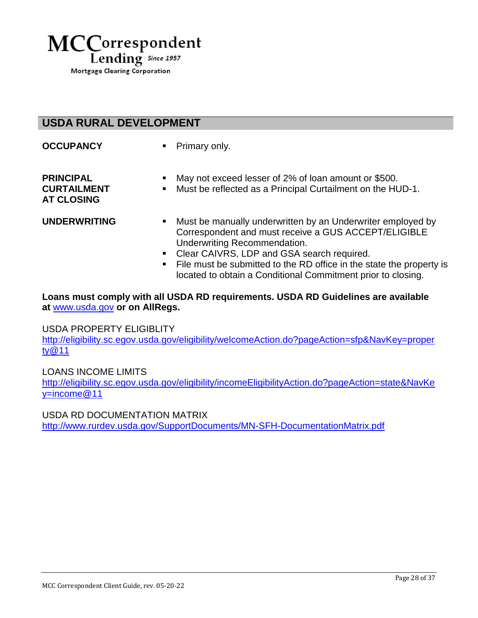

#### **USDA RURAL DEVELOPMENT**

| <b>OCCUPANCY</b> | • Primary only.          |
|------------------|--------------------------|
| <b>PRINCIPAL</b> | Mav not exceed lesser of |

- May not exceed lesser of 2% of loan amount or \$500.
- Must be reflected as a Principal Curtailment on the HUD-1.

### **AT CLOSING**

**CURTAILMENT** 

- 
- **UNDERWRITING** Must be manually underwritten by an Underwriter employed by Correspondent and must receive a GUS ACCEPT/ELIGIBLE Underwriting Recommendation.
	- **EXP.** Clear CAIVRS, LDP and GSA search required.
	- File must be submitted to the RD office in the state the property is located to obtain a Conditional Commitment prior to closing.

**Loans must comply with all USDA RD requirements. USDA RD Guidelines are available at** [www.usda.gov](http://www.usda.gov/) **or on AllRegs.** 

#### USDA PROPERTY ELIGIBLITY

[http://eligibility.sc.egov.usda.gov/eligibility/welcomeAction.do?pageAction=sfp&NavKey=proper](http://eligibility.sc.egov.usda.gov/eligibility/welcomeAction.do?pageAction=sfp&NavKey=property@11) [ty@11](http://eligibility.sc.egov.usda.gov/eligibility/welcomeAction.do?pageAction=sfp&NavKey=property@11)

#### LOANS INCOME LIMITS

[http://eligibility.sc.egov.usda.gov/eligibility/incomeEligibilityAction.do?pageAction=state&NavKe](http://eligibility.sc.egov.usda.gov/eligibility/incomeEligibilityAction.do?pageAction=state&NavKey=income@11) [y=income@11](http://eligibility.sc.egov.usda.gov/eligibility/incomeEligibilityAction.do?pageAction=state&NavKey=income@11)

USDA RD DOCUMENTATION MATRIX <http://www.rurdev.usda.gov/SupportDocuments/MN-SFH-DocumentationMatrix.pdf>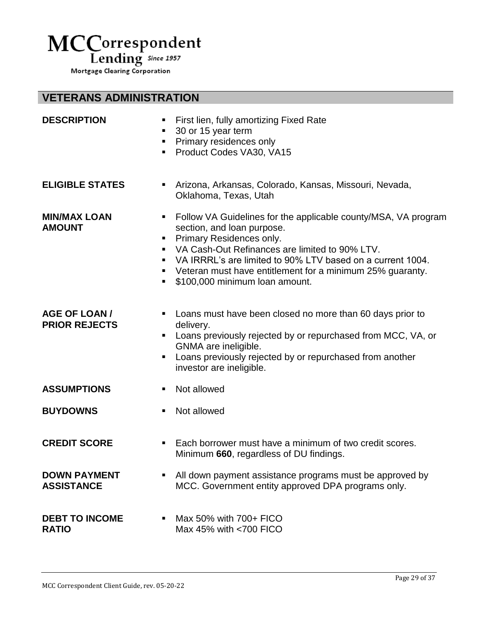### <span id="page-28-0"></span>**VETERANS ADMINISTRATION**

| <b>DESCRIPTION</b>                           | First lien, fully amortizing Fixed Rate<br>٠<br>30 or 15 year term<br>п<br>Primary residences only<br>п<br>Product Codes VA30, VA15<br>٠                                                                                                                                                                                                                           |
|----------------------------------------------|--------------------------------------------------------------------------------------------------------------------------------------------------------------------------------------------------------------------------------------------------------------------------------------------------------------------------------------------------------------------|
| <b>ELIGIBLE STATES</b>                       | Arizona, Arkansas, Colorado, Kansas, Missouri, Nevada,<br>п<br>Oklahoma, Texas, Utah                                                                                                                                                                                                                                                                               |
| <b>MIN/MAX LOAN</b><br><b>AMOUNT</b>         | Follow VA Guidelines for the applicable county/MSA, VA program<br>section, and loan purpose.<br><b>Primary Residences only.</b><br>ш<br>VA Cash-Out Refinances are limited to 90% LTV.<br>п<br>VA IRRRL's are limited to 90% LTV based on a current 1004.<br>Veteran must have entitlement for a minimum 25% guaranty.<br>٠<br>\$100,000 minimum loan amount.<br>٠ |
| <b>AGE OF LOAN /</b><br><b>PRIOR REJECTS</b> | Loans must have been closed no more than 60 days prior to<br>٠<br>delivery.<br>Loans previously rejected by or repurchased from MCC, VA, or<br>GNMA are ineligible.<br>Loans previously rejected by or repurchased from another<br>п<br>investor are ineligible.                                                                                                   |
| <b>ASSUMPTIONS</b>                           | Not allowed<br>$\blacksquare$                                                                                                                                                                                                                                                                                                                                      |
| <b>BUYDOWNS</b>                              | Not allowed<br>٠                                                                                                                                                                                                                                                                                                                                                   |
| <b>CREDIT SCORE</b>                          | Each borrower must have a minimum of two credit scores.<br>ш<br>Minimum 660, regardless of DU findings.                                                                                                                                                                                                                                                            |
| <b>DOWN PAYMENT</b><br><b>ASSISTANCE</b>     | All down payment assistance programs must be approved by<br>MCC. Government entity approved DPA programs only.                                                                                                                                                                                                                                                     |
| <b>DEBT TO INCOME</b><br><b>RATIO</b>        | Max 50% with 700+ FICO<br>Max 45% with <700 FICO                                                                                                                                                                                                                                                                                                                   |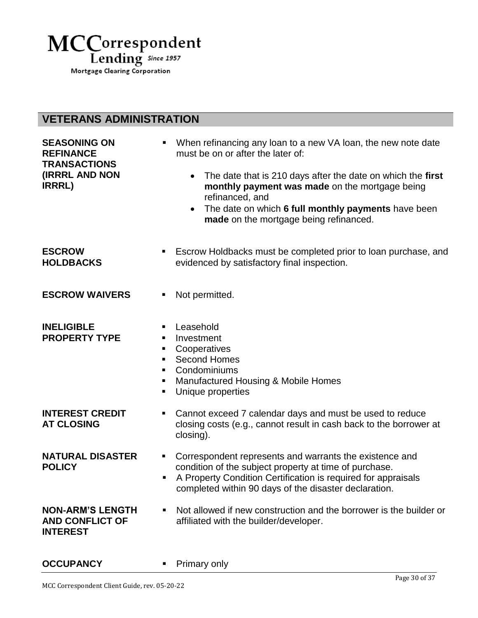

I

| <b>VETERANS ADMINISTRATION</b>                                                                           |                                                                                                                                                                                                                                                                                                                                                                   |  |
|----------------------------------------------------------------------------------------------------------|-------------------------------------------------------------------------------------------------------------------------------------------------------------------------------------------------------------------------------------------------------------------------------------------------------------------------------------------------------------------|--|
| <b>SEASONING ON</b><br><b>REFINANCE</b><br><b>TRANSACTIONS</b><br><b>(IRRRL AND NON</b><br><b>IRRRL)</b> | When refinancing any loan to a new VA loan, the new note date<br>must be on or after the later of:<br>The date that is 210 days after the date on which the first<br>$\bullet$<br>monthly payment was made on the mortgage being<br>refinanced, and<br>The date on which 6 full monthly payments have been<br>$\bullet$<br>made on the mortgage being refinanced. |  |
| <b>ESCROW</b><br><b>HOLDBACKS</b>                                                                        | Escrow Holdbacks must be completed prior to loan purchase, and<br>evidenced by satisfactory final inspection.                                                                                                                                                                                                                                                     |  |
| <b>ESCROW WAIVERS</b>                                                                                    | Not permitted.<br>٠                                                                                                                                                                                                                                                                                                                                               |  |
| <b>INELIGIBLE</b><br><b>PROPERTY TYPE</b>                                                                | Leasehold<br>Investment<br>٠<br>Cooperatives<br>٠<br><b>Second Homes</b><br>Condominiums<br>٠<br>Manufactured Housing & Mobile Homes<br>п<br>Unique properties<br>п                                                                                                                                                                                               |  |
| <b>INTEREST CREDIT</b><br><b>AT CLOSING</b>                                                              | Cannot exceed 7 calendar days and must be used to reduce<br>п<br>closing costs (e.g., cannot result in cash back to the borrower at<br>closing).                                                                                                                                                                                                                  |  |
| <b>NATURAL DISASTER</b><br><b>POLICY</b>                                                                 | Correspondent represents and warrants the existence and<br>п<br>condition of the subject property at time of purchase.<br>A Property Condition Certification is required for appraisals<br>п<br>completed within 90 days of the disaster declaration.                                                                                                             |  |
| <b>NON-ARM'S LENGTH</b><br><b>AND CONFLICT OF</b><br><b>INTEREST</b>                                     | Not allowed if new construction and the borrower is the builder or<br>٠<br>affiliated with the builder/developer.                                                                                                                                                                                                                                                 |  |
| <b>OCCUPANCY</b>                                                                                         | Primary only                                                                                                                                                                                                                                                                                                                                                      |  |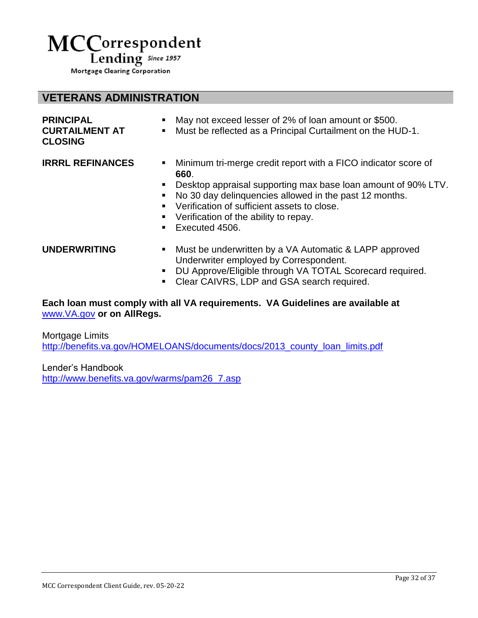#### **VETERANS ADMINISTRATION**

#### **PRINCIPAL CURTAILMENT AT CLOSING**

- May not exceed lesser of 2% of loan amount or \$500. Must be reflected as a Principal Curtailment on the HUD-1.
- 
- **IRRRL REFINANCES** Minimum tri-merge credit report with a FICO indicator score of **660**.
	- Desktop appraisal supporting max base loan amount of 90% LTV.
	- No 30 day delinquencies allowed in the past 12 months.
	- **•** Verification of sufficient assets to close.
	- **Verification of the ability to repay.**
	- **Executed 4506.**

- **UNDERWRITING** Must be underwritten by a VA Automatic & LAPP approved Underwriter employed by Correspondent.
	- **DU Approve/Eligible through VA TOTAL Scorecard required.**
	- Clear CAIVRS, LDP and GSA search required.

#### **Each loan must comply with all VA requirements. VA Guidelines are available at**  [www.VA.gov](http://www.va.gov/) **or on AllRegs.**

Mortgage Limits

[http://benefits.va.gov/HOMELOANS/documents/docs/2013\\_county\\_loan\\_limits.pdf](http://benefits.va.gov/HOMELOANS/documents/docs/2013_county_loan_limits.pdf)

Lender's Handbook [http://www.benefits.va.gov/warms/pam26\\_7.asp](http://www.benefits.va.gov/warms/pam26_7.asp)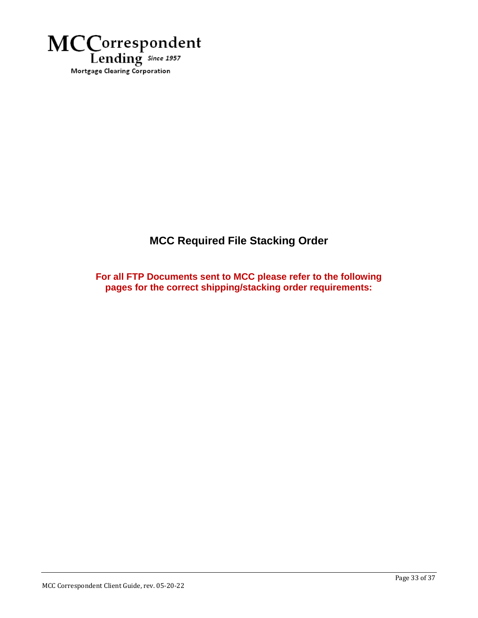

### **MCC Required File Stacking Order**

<span id="page-32-0"></span>**For all FTP Documents sent to MCC please refer to the following pages for the correct shipping/stacking order requirements:**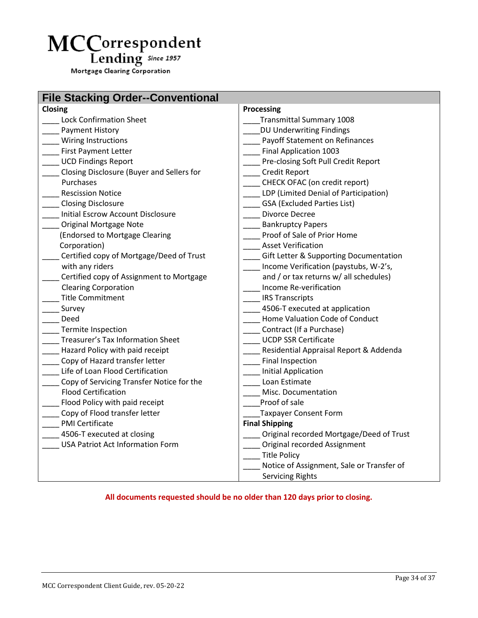<span id="page-33-0"></span>

| <b>File Stacking Order--Conventional</b>  |                                           |
|-------------------------------------------|-------------------------------------------|
| Closing                                   | <b>Processing</b>                         |
| <b>Lock Confirmation Sheet</b>            | <b>Transmittal Summary 1008</b>           |
| Payment History                           | <b>DU Underwriting Findings</b>           |
| Wiring Instructions                       | Payoff Statement on Refinances            |
| <b>First Payment Letter</b>               | Final Application 1003                    |
| <b>UCD Findings Report</b>                | Pre-closing Soft Pull Credit Report       |
| Closing Disclosure (Buyer and Sellers for | <b>Credit Report</b>                      |
| Purchases                                 | CHECK OFAC (on credit report)             |
| <b>Rescission Notice</b>                  | LDP (Limited Denial of Participation)     |
| <b>Closing Disclosure</b>                 | <b>GSA (Excluded Parties List)</b>        |
| <b>Initial Escrow Account Disclosure</b>  | <b>Divorce Decree</b>                     |
| <b>Original Mortgage Note</b>             | <b>Bankruptcy Papers</b>                  |
| (Endorsed to Mortgage Clearing            | Proof of Sale of Prior Home               |
| Corporation)                              | <b>Asset Verification</b>                 |
| Certified copy of Mortgage/Deed of Trust  | Gift Letter & Supporting Documentation    |
| with any riders                           | Income Verification (paystubs, W-2's,     |
| Certified copy of Assignment to Mortgage  | and / or tax returns w/ all schedules)    |
| <b>Clearing Corporation</b>               | Income Re-verification                    |
| <b>Title Commitment</b>                   | <b>IRS Transcripts</b>                    |
| Survey                                    | 4506-T executed at application            |
| Deed                                      | Home Valuation Code of Conduct            |
| Termite Inspection                        | Contract (If a Purchase)                  |
| Treasurer's Tax Information Sheet         | <b>UCDP SSR Certificate</b>               |
| Hazard Policy with paid receipt           | Residential Appraisal Report & Addenda    |
| Copy of Hazard transfer letter            | Final Inspection                          |
| Life of Loan Flood Certification          | <b>Initial Application</b>                |
| Copy of Servicing Transfer Notice for the | Loan Estimate                             |
| <b>Flood Certification</b>                | Misc. Documentation                       |
| Flood Policy with paid receipt            | Proof of sale                             |
| Copy of Flood transfer letter             | <b>Taxpayer Consent Form</b>              |
| <b>PMI Certificate</b>                    | <b>Final Shipping</b>                     |
| 4506-T executed at closing                | Original recorded Mortgage/Deed of Trust  |
| <b>USA Patriot Act Information Form</b>   | Original recorded Assignment              |
|                                           | <b>Title Policy</b>                       |
|                                           | Notice of Assignment, Sale or Transfer of |
|                                           | <b>Servicing Rights</b>                   |

#### **All documents requested should be no older than 120 days prior to closing.**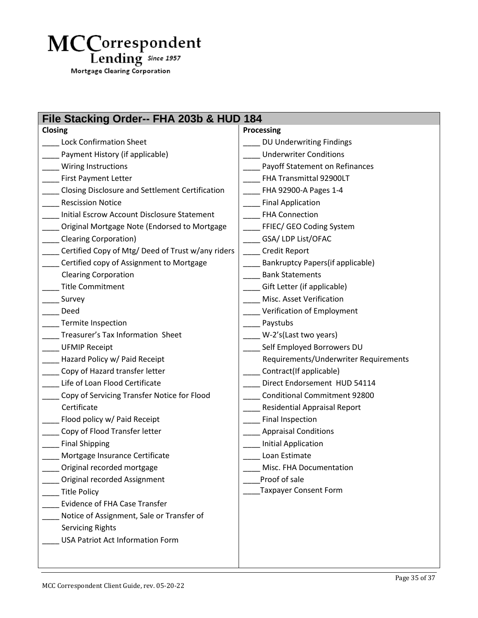<span id="page-34-0"></span>

| File Stacking Order-- FHA 203b & HUD 184               |                                       |
|--------------------------------------------------------|---------------------------------------|
| Closing                                                | Processing                            |
| <b>Lock Confirmation Sheet</b>                         | DU Underwriting Findings              |
| Payment History (if applicable)                        | <b>Underwriter Conditions</b>         |
| Wiring Instructions                                    | Payoff Statement on Refinances        |
| First Payment Letter                                   | FHA Transmittal 92900LT               |
| <b>Closing Disclosure and Settlement Certification</b> | FHA 92900-A Pages 1-4                 |
| <b>Rescission Notice</b>                               | <b>Final Application</b>              |
| Initial Escrow Account Disclosure Statement            | <b>FHA Connection</b>                 |
| Original Mortgage Note (Endorsed to Mortgage           | FFIEC/ GEO Coding System              |
| <b>Clearing Corporation)</b>                           | GSA/ LDP List/OFAC                    |
| Certified Copy of Mtg/ Deed of Trust w/any riders      | Credit Report                         |
| Certified copy of Assignment to Mortgage               | Bankruptcy Papers(if applicable)      |
| <b>Clearing Corporation</b>                            | <b>Bank Statements</b>                |
| <b>Title Commitment</b>                                | Gift Letter (if applicable)           |
| Survey                                                 | Misc. Asset Verification              |
| Deed                                                   | Verification of Employment            |
| <b>Termite Inspection</b>                              | Paystubs                              |
| Treasurer's Tax Information Sheet                      | W-2's(Last two years)                 |
| <b>UFMIP Receipt</b>                                   | Self Employed Borrowers DU            |
| Hazard Policy w/ Paid Receipt                          | Requirements/Underwriter Requirements |
| Copy of Hazard transfer letter                         | Contract(If applicable)               |
| Life of Loan Flood Certificate                         | Direct Endorsement HUD 54114          |
| Copy of Servicing Transfer Notice for Flood            | <b>Conditional Commitment 92800</b>   |
| Certificate                                            | <b>Residential Appraisal Report</b>   |
| Flood policy w/ Paid Receipt                           | <b>Final Inspection</b>               |
| Copy of Flood Transfer letter                          | <b>Appraisal Conditions</b>           |
| <b>Final Shipping</b>                                  | <b>Initial Application</b>            |
| Mortgage Insurance Certificate                         | Loan Estimate                         |
| Original recorded mortgage                             | Misc. FHA Documentation               |
| Original recorded Assignment                           | Proof of sale                         |
| <b>Title Policy</b>                                    | <b>Taxpayer Consent Form</b>          |
| Evidence of FHA Case Transfer                          |                                       |
| Notice of Assignment, Sale or Transfer of              |                                       |
| <b>Servicing Rights</b>                                |                                       |
| <b>USA Patriot Act Information Form</b>                |                                       |
|                                                        |                                       |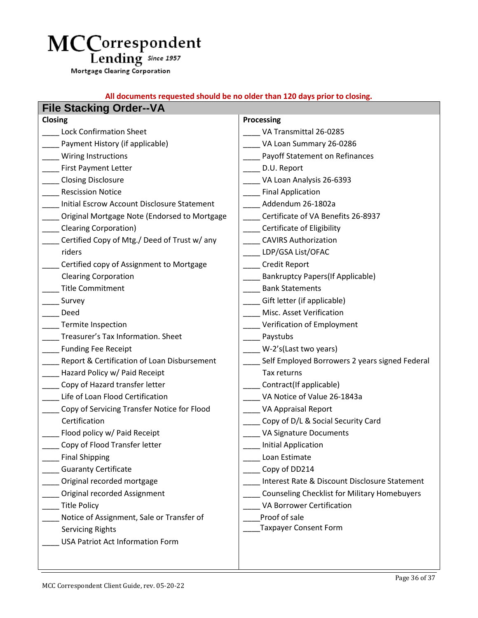<span id="page-35-0"></span>

| All documents requested should be no older than 120 days prior to closing. |                                                     |  |
|----------------------------------------------------------------------------|-----------------------------------------------------|--|
| <b>File Stacking Order--VA</b>                                             |                                                     |  |
| Closing                                                                    | <b>Processing</b>                                   |  |
| <b>Lock Confirmation Sheet</b>                                             | VA Transmittal 26-0285                              |  |
| Payment History (if applicable)                                            | VA Loan Summary 26-0286                             |  |
| Wiring Instructions                                                        | Payoff Statement on Refinances                      |  |
| First Payment Letter                                                       | D.U. Report                                         |  |
| <b>Closing Disclosure</b>                                                  | VA Loan Analysis 26-6393                            |  |
| <b>Rescission Notice</b>                                                   | <b>Final Application</b>                            |  |
| Initial Escrow Account Disclosure Statement                                | Addendum 26-1802a                                   |  |
| Original Mortgage Note (Endorsed to Mortgage                               | Certificate of VA Benefits 26-8937                  |  |
| <b>Clearing Corporation)</b>                                               | Certificate of Eligibility                          |  |
| Certified Copy of Mtg./ Deed of Trust w/ any                               | <b>CAVIRS Authorization</b>                         |  |
| riders                                                                     | LDP/GSA List/OFAC                                   |  |
| Certified copy of Assignment to Mortgage                                   | Credit Report                                       |  |
| <b>Clearing Corporation</b>                                                | <b>Bankruptcy Papers(If Applicable)</b>             |  |
| <b>Title Commitment</b>                                                    | <b>Bank Statements</b>                              |  |
| Survey                                                                     | Gift letter (if applicable)                         |  |
| Deed                                                                       | Misc. Asset Verification                            |  |
| Termite Inspection                                                         | Verification of Employment                          |  |
| Treasurer's Tax Information. Sheet                                         | Paystubs                                            |  |
| <b>Funding Fee Receipt</b>                                                 | W-2's(Last two years)                               |  |
| Report & Certification of Loan Disbursement                                | Self Employed Borrowers 2 years signed Federal      |  |
| Hazard Policy w/ Paid Receipt                                              | Tax returns                                         |  |
| Copy of Hazard transfer letter                                             | Contract(If applicable)                             |  |
| Life of Loan Flood Certification                                           | VA Notice of Value 26-1843a                         |  |
| Copy of Servicing Transfer Notice for Flood                                | VA Appraisal Report                                 |  |
| Certification                                                              | Copy of D/L & Social Security Card                  |  |
| Flood policy w/ Paid Receipt                                               | VA Signature Documents                              |  |
| Copy of Flood Transfer letter                                              | <b>Initial Application</b>                          |  |
| <b>Final Shipping</b>                                                      | Loan Estimate                                       |  |
| <b>Guaranty Certificate</b>                                                | Copy of DD214                                       |  |
| Original recorded mortgage                                                 | Interest Rate & Discount Disclosure Statement       |  |
| Original recorded Assignment                                               | <b>Counseling Checklist for Military Homebuyers</b> |  |
| <b>Title Policy</b>                                                        | VA Borrower Certification                           |  |
| Notice of Assignment, Sale or Transfer of                                  | Proof of sale                                       |  |
| <b>Servicing Rights</b>                                                    | <b>Taxpayer Consent Form</b>                        |  |
| <b>USA Patriot Act Information Form</b>                                    |                                                     |  |
|                                                                            |                                                     |  |